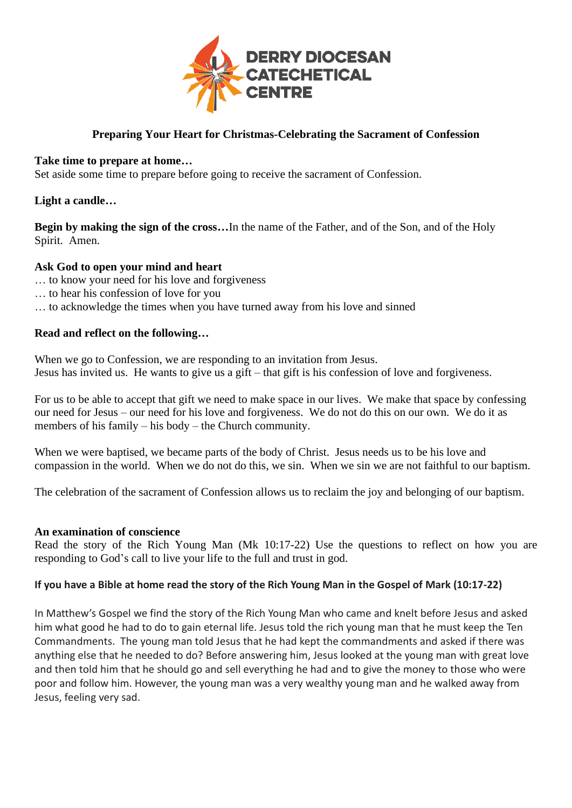

## **Preparing Your Heart for Christmas-Celebrating the Sacrament of Confession**

#### **Take time to prepare at home…**

Set aside some time to prepare before going to receive the sacrament of Confession.

#### **Light a candle…**

**Begin by making the sign of the cross…**In the name of the Father, and of the Son, and of the Holy Spirit. Amen.

#### **Ask God to open your mind and heart**

- … to know your need for his love and forgiveness
- … to hear his confession of love for you
- … to acknowledge the times when you have turned away from his love and sinned

#### **Read and reflect on the following…**

When we go to Confession, we are responding to an invitation from Jesus. Jesus has invited us. He wants to give us a gift – that gift is his confession of love and forgiveness.

For us to be able to accept that gift we need to make space in our lives. We make that space by confessing our need for Jesus – our need for his love and forgiveness. We do not do this on our own. We do it as members of his family – his body – the Church community.

When we were baptised, we became parts of the body of Christ. Jesus needs us to be his love and compassion in the world. When we do not do this, we sin. When we sin we are not faithful to our baptism.

The celebration of the sacrament of Confession allows us to reclaim the joy and belonging of our baptism.

#### **An examination of conscience**

Read the story of the Rich Young Man (Mk 10:17-22) Use the questions to reflect on how you are responding to God's call to live your life to the full and trust in god.

#### **If you have a Bible at home read the story of the Rich Young Man in the Gospel of Mark (10:17-22)**

In Matthew's Gospel we find the story of the Rich Young Man who came and knelt before Jesus and asked him what good he had to do to gain eternal life. Jesus told the rich young man that he must keep the Ten Commandments. The young man told Jesus that he had kept the commandments and asked if there was anything else that he needed to do? Before answering him, Jesus looked at the young man with great love and then told him that he should go and sell everything he had and to give the money to those who were poor and follow him. However, the young man was a very wealthy young man and he walked away from Jesus, feeling very sad.